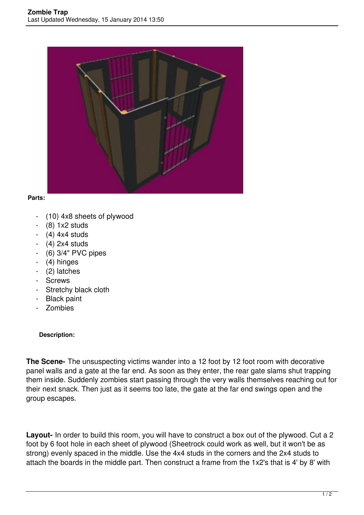

## **Parts:**

- (10) 4x8 sheets of plywood
- (8) 1x2 studs
- $-$  (4) 4x4 studs
- $-$  (4) 2x4 studs
- (6) 3/4" PVC pipes
- (4) hinges
- (2) latches
- Screws
- Stretchy black cloth
- Black paint
- Zombies

## **Description:**

**The Scene-** The unsuspecting victims wander into a 12 foot by 12 foot room with decorative panel walls and a gate at the far end. As soon as they enter, the rear gate slams shut trapping them inside. Suddenly zombies start passing through the very walls themselves reaching out for their next snack. Then just as it seems too late, the gate at the far end swings open and the group escapes.

**Layout-** In order to build this room, you will have to construct a box out of the plywood. Cut a 2 foot by 6 foot hole in each sheet of plywood (Sheetrock could work as well, but it won't be as strong) evenly spaced in the middle. Use the 4x4 studs in the corners and the 2x4 studs to attach the boards in the middle part. Then construct a frame from the 1x2's that is 4' by 8' with